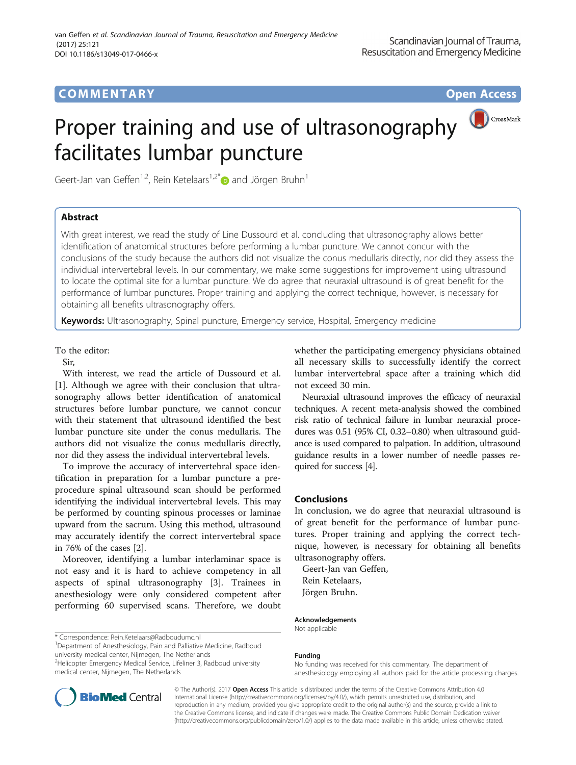## COMM EN TARY Open Access

# Proper training and use of ultrasonography facilitates lumbar puncture



Geert-Jan van Geffen<sup>1,2</sup>, Rein Ketelaars<sup>1,2[\\*](http://orcid.org/0000-0002-3548-0417)</sup> $\bullet$  and Jörgen Bruhn<sup>1</sup>

## Abstract

With great interest, we read the study of Line Dussourd et al. concluding that ultrasonography allows better identification of anatomical structures before performing a lumbar puncture. We cannot concur with the conclusions of the study because the authors did not visualize the conus medullaris directly, nor did they assess the individual intervertebral levels. In our commentary, we make some suggestions for improvement using ultrasound to locate the optimal site for a lumbar puncture. We do agree that neuraxial ultrasound is of great benefit for the performance of lumbar punctures. Proper training and applying the correct technique, however, is necessary for obtaining all benefits ultrasonography offers.

Keywords: Ultrasonography, Spinal puncture, Emergency service, Hospital, Emergency medicine

#### To the editor:

Sir,

With interest, we read the article of Dussourd et al. [[1\]](#page-1-0). Although we agree with their conclusion that ultrasonography allows better identification of anatomical structures before lumbar puncture, we cannot concur with their statement that ultrasound identified the best lumbar puncture site under the conus medullaris. The authors did not visualize the conus medullaris directly, nor did they assess the individual intervertebral levels.

To improve the accuracy of intervertebral space identification in preparation for a lumbar puncture a preprocedure spinal ultrasound scan should be performed identifying the individual intervertebral levels. This may be performed by counting spinous processes or laminae upward from the sacrum. Using this method, ultrasound may accurately identify the correct intervertebral space in 76% of the cases [\[2\]](#page-1-0).

Moreover, identifying a lumbar interlaminar space is not easy and it is hard to achieve competency in all aspects of spinal ultrasonography [[3\]](#page-1-0). Trainees in anesthesiology were only considered competent after performing 60 supervised scans. Therefore, we doubt

\* Correspondence: [Rein.Ketelaars@Radboudumc.nl](mailto:Rein.Ketelaars@Radboudumc.nl) <sup>1</sup>

<sup>1</sup>Department of Anesthesiology, Pain and Palliative Medicine, Radboud university medical center, Nijmegen, The Netherlands

<sup>2</sup>Helicopter Emergency Medical Service, Lifeliner 3, Radboud university medical center, Nijmegen, The Netherlands

whether the participating emergency physicians obtained all necessary skills to successfully identify the correct lumbar intervertebral space after a training which did not exceed 30 min.

Neuraxial ultrasound improves the efficacy of neuraxial techniques. A recent meta-analysis showed the combined risk ratio of technical failure in lumbar neuraxial procedures was 0.51 (95% CI, 0.32–0.80) when ultrasound guidance is used compared to palpation. In addition, ultrasound guidance results in a lower number of needle passes required for success [[4](#page-1-0)].

### Conclusions

In conclusion, we do agree that neuraxial ultrasound is of great benefit for the performance of lumbar punctures. Proper training and applying the correct technique, however, is necessary for obtaining all benefits ultrasonography offers.

Geert-Jan van Geffen, Rein Ketelaars, Jörgen Bruhn.

#### Acknowledgements

Not applicable

#### Funding

No funding was received for this commentary. The department of anesthesiology employing all authors paid for the article processing charges.

© The Author(s). 2017 **Open Access** This article is distributed under the terms of the Creative Commons Attribution 4.0 International License [\(http://creativecommons.org/licenses/by/4.0/](http://creativecommons.org/licenses/by/4.0/)), which permits unrestricted use, distribution, and reproduction in any medium, provided you give appropriate credit to the original author(s) and the source, provide a link to the Creative Commons license, and indicate if changes were made. The Creative Commons Public Domain Dedication waiver [\(http://creativecommons.org/publicdomain/zero/1.0/](http://creativecommons.org/publicdomain/zero/1.0/)) applies to the data made available in this article, unless otherwise stated.